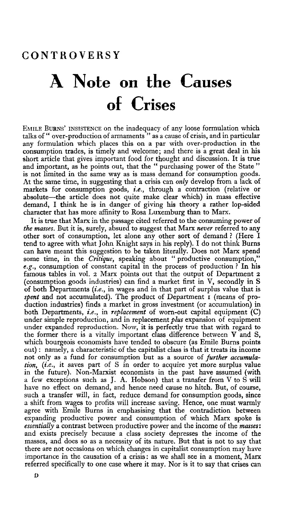## A Note on the Causes of Crises

EMILE BURNS' INSISTENCE on the inadequacy of any loose formulation which talks of " over-production of armaments " as a cause of crisis, and in particular any formulation which places this on a par with over-production in the consumption trades, is timely and welcome; and there is a great deal in his short article that gives important food for thought and discussion. It is true and important, as he points out, that the " purchasing power of the State" is not limited in the same way as is mass demand for consumption goods. At the same time, in suggesting that a crisis can *only* develop from a lack of markets for consumption goods, *i.e.,* through a contraction (relative or absolute—the article does not quite make clear which) in mass effective demand, I think he is in danger of giving his theory a rather lop-sided character that has more affinity to Rosa Luxemburg than to Marx.

It is true that Marx in the passage cited referred to the consuming power of *the masses.* But it is, surely, absurd to suggest that Marx *never* referred to any other sort of consumption, let alone any other sort of demand ? (Here I tend to agree with what John Knight says in his reply). I do not think Burns can have meant this suggestion to be taken literally. Does not Marx spend some time, in the *Critique*, speaking about " productive consumption," *e.g.,* consumption of constant capital in the process of production ? In his famous tables in vol. 2 Marx points out that the output of Department 2 (consumption goods industries) can find a market first in V, secondly in S of both Departments *(i.e.,* in wages and in that part of surplus value that is spent and not accumulated). The product of Department I (means of production industries) finds a market in gross investment (or accumulation) in both Departments, *i.e.,* in *replacement* of worn-out capital equipment (C) under simple reproduction, and in replacement *plus* expansion of equipment under expanded reproduction. Now, it is perfectly true that with regard to the former there is a vitally important class difference between  $V$  and  $S$ , which bourgeois economists have tended to obscure (as Emile Burns points out): namely, a characteristic of the capitalist class is that it treats its income not only as a fund for consumption but as a source of *further accumulation, (i.e.,* it saves part of S in order to acquire yet more surplus value in the future). Non-Marxist economists in the past have assumed (with a few exceptions such as J. A. Hobson) that a transfer from V to S will have no effect on demand, and hence need cause no hitch. But, of course, such a transfer will, in fact, reduce demand for consumption goods, since a shift from wages to profits will increase saving. Hence, one must warmly a sime noin wages to promis win increase saving. rience, one must warmly agice with Entire burns in emphasising that the contradiction between *essentially* a contrast between productive power and the income of the *masses:* and exists precisely because a class society depresses the income of the masses, and does so as a necessity of its nature. But that is not to say that masses, and does so as a necessity of its nature, but that is not to say that<br>there are not occasions on which changes in capitalist consumption may have there are not occasions on which changes in capitalist consumption may have importance in the causation of a crisis: as we shall see in a moment, Marx referred specifically to one case where it may. Nor is it to say that crises can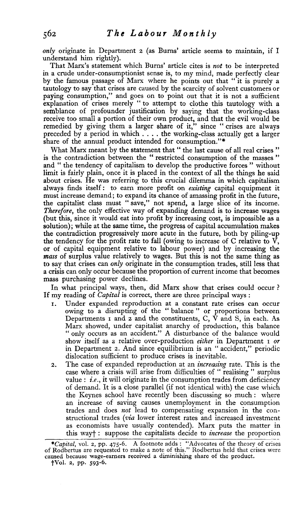*only* originate in Department 2 (as Burns' article seems to maintain, if I understand him rightly).

That Marx's statement which Burns' article cites is *not* to be interpreted in a crude under-consumptionist sense is, to my mind, made perfectly clear by the famous passage of Marx where he points out that "it is purely a tautology to say that crises are caused by the scarcity of solvent customers or paying consumption," and goes on to point out that it is not a sufficient explanation of crises merely " to attempt to clothe this tautology with a semblance of profounder justification by saying that the working-class receive too small a portion of their own product, and that the evil would be remedied by giving them a larger share of it," since " crises are always preceded by a period in which ... . the working-class actually get a larger share of the annual product intended for consumption."\*

What Marx meant by the statement that " the last cause of all real crises " is the contradiction between the " restricted consumption of the masses " and " the tendency of capitalism to develop the productive forces " without limit is fairly plain, once it is placed in the context of all the things he said about crises. He was referring to this crucial dilemma in which capitalism always finds itself: to earn more profit on *existing* capital equipment it must increase demand; to expand its chance of amassing profit in the future, the capitalist class must " save," not spend, a large slice of its income. *Therefore,* the only effective way of expanding demand is to increase wages (but this, since it would eat into profit by increasing cost, is impossible as a solution); while at the same time, the progress of capital accumulation makes the contradiction progressively more acute in the future, both by piling-up the tendency for the profit rate to fall (owing to increase of  $C$  relative to  $\overrightarrow{V}$ , or of capital equipment relative to labour power) and by increasing the *mass* of surplus value relatively to wages. But this is not the same thing as to say that crises can *only* originate in the consumption trades, still less that a crisis can only occur because the proportion of current income that becomes mass purchasing power declines.

In what principal ways, then, did Marx show that crises could occur ? If my reading of *Capital* is correct, there are three principal ways :

- Under expanded reproduction at a constant rate crises can occur owing to a disrupting of the " balance " or proportions between Departments 1 and 2 and the constituents, C, V and S, in each. As Marx showed, under capitalist anarchy of production, this balance " only occurs as an accident." A disturbance of the balance would show itself as a relative over-production *either* in Department 1 *or* in Department 2. And since equilibrium is an " accident," periodic dislocation sufficient to produce crises is inevitable.
- 2. The case of expanded reproduction at an *increasing* rate. This is the case where a crisis will arise from difficulties of " realising " surplus value : *i.e.*, it will originate in the consumption trades from deficiency of demand. It is a close parallel (if not identical with) the case which the Keynes school have recently been discussing so much: where an increase of saving causes unemployment in the consumption trades and does *not* lead to compensating expansion in the constructional trades *(via* lower interest rates and increased investment as economists have usually contended). Marx puts the matter in this wayf : suppose the capitalists decide to *increase* the proportion

*<sup>\*</sup>Capital,* vol. 2, pp. 475-6. A footnote adds : "Advocates of the theory of crises of Rodbertus are requested to make a note of this." Rodbertus held that crises were caused because wage-earners received a diminishing share of the product.

fVol. 2, pp. 593-6.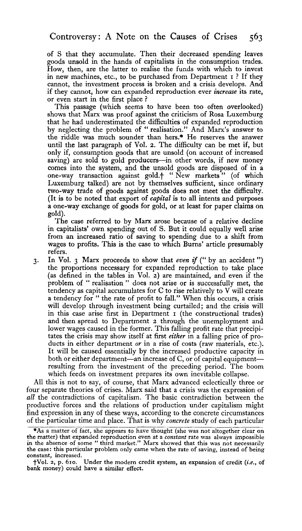of S that they accumulate. Then their decreased spending leaves goods unsold in the hands of capitalists in the consumption trades. How, then, are the latter to realise the funds with which to invest in new machines, etc., to be purchased from Department 1 ? If they cannot, the investment process is broken and a crisis develops. And if they cannot, how can expanded reproduction ever *increase* its rate, or even start in the first place ?

This passage (which seems to have been too often overlooked) shows that Marx was proof against the criticism of Rosa Luxemburg that he had underestimated the difficulties of expanded reproduction by neglecting the problem of " realisation." And Marx's answer to the riddle was much sounder than hers.\* He reserves the answer until the last paragraph of Vol. 2. The difficulty can be met if, but only if, consumption goods that are unsold (on account of increased saving) are sold to gold producers—in other words, if new money comes into the system, and the unsold goods are disposed of in a one-way transaction against gold.<sup>4</sup> "New markets" (of which Luxemburg talked) are not by themselves sufficient, since ordinary two-way trade of goods against goods does not meet the difficulty. (It is to be noted that export of *capital* is to all intents and purposes a one-way exchange of goods for gold, or at least for paper claims on gold).

The case referred to by Marx arose because of a relative decline in capitalists' own spending out of S. But it could equally well arise from an increased ratio of saving to spending due to a shift from wages to profits. This is the case to which Burns' article presumably refers.

3. In Vol. 3 Marx proceeds to show that *even if* (" by an accident ") the proportions necessary for expanded reproduction to take place (as defined in the tables in Vol. 2) are maintained, and even if the problem of " realisation " does not arise or is successfully met, the tendency as capital accumulates for C to rise relatively to V will create a tendency for " the rate of profit to fall." When this occurs, a crisis will develop through investment being curtailed; and the crisis will in this case arise first in Department 1 (the constructional trades) and then spread to Department 2 through the unemployment and lower wages caused in the former. This falling profit rate that precipitates the crisis may show itself at first *either* in a falling price of products in either department *or* in a rise of costs (raw materials, etc.). It will be caused essentially by the increased productive capacity in both or either department—an increase of C, or of capital equipment resulting from the investment of the preceding period. The boom which feeds on investment prepares its own inevitable collapse.

All this is not to say, of course, that Marx advanced eclectically three or four separate theories of crises. Marx said that a crisis was the expression of *all* the contradictions of capitalism. The basic contradiction between the productive forces and the relations of production under capitalism might find expression in any of these ways, according to the concrete circumstances of the particular time and place. That is why *concrete* study of each particular

<sup>\*</sup>As a matter of fact, she appears to have thought (she was not altogether clear on the matter) that expanded reproduction even at a *constant* rate was always impossible in the absence of some " third market." Marx showed that this was not necessarily the case: this particular problem only came when the rate of saving, instead of being constant, increased.

<sup>•</sup>j-Vol. 2, p. 610. Under the modern credit system, an expansion of credit *(i.e.,* of bank money) could have a similar effect.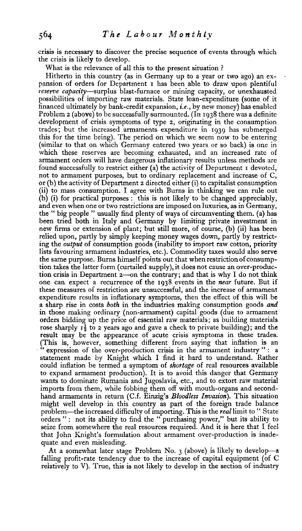crisis is necessary to discover the precise sequence of events through which the crisis is likely to develop.

What is the relevance of all this to the present situation ?

Hitherto in this country (as in Germany up to a year or two ago) an expansion of orders for Department 1 has been able to draw upon plentiful *reserve capacity*—surplus blast-furnace or mining capacity, or unexhausted possibilities of importing raw materials. State loan-expenditure (some of it financed ultimately by bank-credit expansion, *i.e.,* by new money) has enabled Problem 2 (above) to be successfully surmounted. (In 1938 there was a definite development of crisis symptoms of type 2, originating in the consumption trades; but the increased armaments expenditure in 1939 has submerged this for the time being). The period on which we seem now to be entering (similar to that on which Germany entered two years or so back) is one in which these reserves are becoming exhausted, and an increased rate of armament orders will have dangerous inflationary results unless methods are found successfully to restrict either (a) the activity of Department 1 devoted, not to armament purposes, but to ordinary replacement and increase of C, or (b) the activity of Department 2 directed either (i) to capitalist consumption (ii) to mass consumption. I agree with Burns in thinking we can rule out (b) (i) for practical purposes : this is not likely to be changed appreciably, and even when one or two restrictions are imposed on luxuries, as in Germany, the " big people " usually find plenty of ways of circumventing them, (a) has been tried both in Italy and Germany by limiting private investment in new firms or extension of plant; but still more, of course, (b) (ii) has been relied upon, partly by simply keeping money wages down, partly by restricting the *output* of consumption goods (inability to import raw cotton, priority lists favouring armament industries, etc.). Commodity taxes would also serve the same purpose. Burns himself points out that when restriction of consumption takes the latter form (curtailed supply), it does not cause an over-production crisis in Department 2—on the contrary; and that is why I do not think one can expect a recurrence of the 1938 events in the *near* future. But if one can expect a recurrence of the 1930 events in the *near* future. But if expenditure results in inflationary symptoms, then the effect of this will be expenditure results in inflationary symptoms, then the effect of this will be expenditure results in inhationary symptoms, then the effect of this will be<br>a sharp rise in costs hath in the industries making consumption goods and a snarp rise in costs *ooth* in the moustries making consumption goods *and*<br>in those making ordinary (non-armament) capital goods (due to armament in those making ordinary (non-armament) capital goods (due to armament orders bidding up the price of essential raw materials; as building materials  $\frac{1}{2}$  orders bidding up the price of essential raw materials; as building); and the rose snarply 1<sup>2</sup> to 2 years ago and gave a check to private building); and the result may be the appearance of acute crisis symptoms in these trades.<br>(This is, however, something different from saying that inflation is an (interesting to the over-production crisis in the armament industry " : a expression of the over-production crisis in the armament modestry : a statement made by Knight which I find it hard to understand. Rather could inflation be termed a symptom of *shortage* of real resources available to expand armament production). It is to avoid this danger that Germany wants to dominate Rumania and Jugoslavia, etc., and to extort raw material imports from them, while fobbing them off with mouth-organs and secondhand armaments in return (C.f. Einzig's Bloodless Invasion). This situation might well develop in this country as part of the foreign trade balance problem—the increased difficulty of importing. This is the real limit to " State orders ": not its ability to find the "purchasing power," but its ability to seize from somewhere the real resources required. And it is here that I feel that John Knight's formulation about armament over-production is inadequate and even misleading.

At a somewhat later stage Problem No. 3 (above) is likely to develop—a falling profit-rate tendency due to the increase of capital equipment (of C relatively to V). True, this is not likely to develop in the section of industry